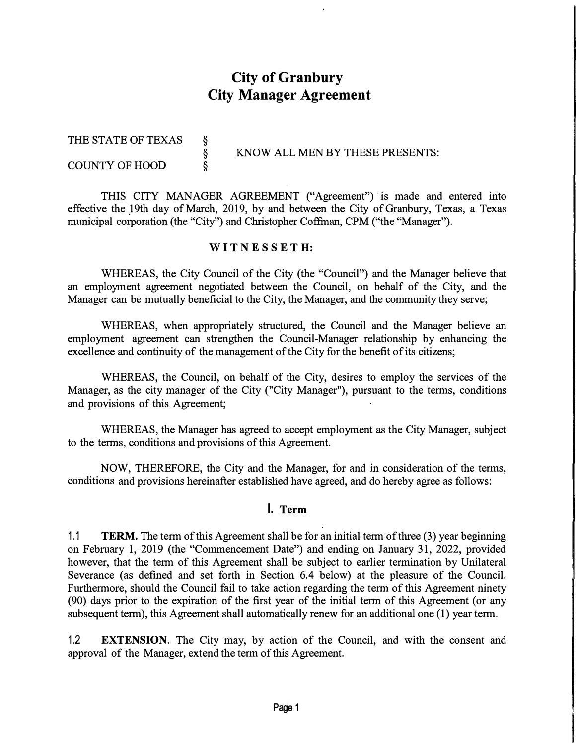# **City of Granbury City Manager Agreement**

| THE STATE OF TEXAS    |  | KNOW ALL MEN BY THESE PRESENTS: |
|-----------------------|--|---------------------------------|
| <b>COUNTY OF HOOD</b> |  |                                 |
|                       |  |                                 |

THIS CITY MANAGER AGREEMENT ("Agreement") 'is made and entered into effective the 19th day of March, 2019, by and between the City of Granbury, Texas, a Texas municipal corporation (the "City") and Christopher Coffman, CPM ("the "Manager").

#### **WIT N E S S E T H:**

WHEREAS, the City Council of the City (the "Council") and the Manager believe that an employment agreement negotiated between the Council, on behalf of the City, and the Manager can be mutually beneficial to the City, the Manager, and the community they serve;

WHEREAS, when appropriately structured, the Council and the Manager believe an employment agreement can strengthen the Council-Manager relationship by enhancing the excellence and continuity of the management of the City for the benefit of its citizens;

WHEREAS, the Council, on behalf of the City, desires to employ the services of the Manager, as the city manager of the City ("City Manager"), pursuant to the terms, conditions and provisions of this Agreement;

WHEREAS, the Manager has agreed to accept employment as the City Manager, subject to the terms, conditions and provisions of this Agreement.

NOW, THEREFORE, the City and the Manager, for and in consideration of the terms, conditions and provisions hereinafter established have agreed, and do hereby agree as follows:

#### **I. Term**

1.1 **TERM.** The term of this Agreement shall be for an initial term of three (3) year beginning on February 1, 2019 (the "Commencement Date") and ending on January 31, 2022, provided however, that the term of this Agreement shall be subject to earlier termination by Unilateral Severance (as defined and set forth in Section 6.4 below) at the pleasure of the Council. Furthermore, should the Council fail to take action regarding the term of this Agreement ninety (90) days prior to the expiration of the first year of the initial term of this Agreement ( or any subsequent term), this Agreement shall automatically renew for an additional one (1) year term.

1.2 **EXTENSION.** The City may, by action of the Council, and with the consent and approval of the Manager, extend the term of this Agreement.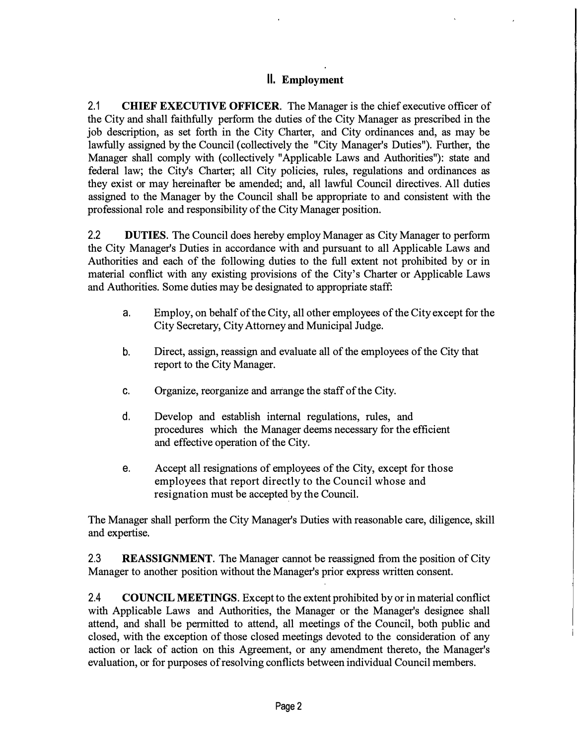### **II. Employment**

2.1 **CHIEF EXECUTIVE OFFICER.** The Manager is the chief executive officer of the City and shall faithfully perform the duties of the City Manager as prescribed in the job description, as set forth in the City Charter, and City ordinances and, as may be lawfully assigned by the Council (collectively the "City Manager's Duties"). Further, the Manager shall comply with (collectively "Applicable Laws and Authorities"): state and federal law; the City's Charter; all City policies, rules, regulations and ordinances as they exist or may hereinafter be amended; and, all lawful Council directives. All duties assigned to the Manager by the Council shall be appropriate to and consistent with the professional role and responsibility of the City Manager position.

2.2 **DUTIES.** The Council does hereby employ Manager as City Manager to perform the City Manager's Duties in accordance with and pursuant to all Applicable Laws and Authorities and each of the following duties to the full extent not prohibited by or in material conflict with any existing provisions of the City's Charter or Applicable Laws and Authorities. Some duties may be designated to appropriate staff:

- a. Employ, on behalf of the City, all other employees of the City except for the City Secretary, City Attorney and Municipal Judge.
- b. Direct, assign, reassign and evaluate all of the employees of the City that report to the City Manager.
- c. Organize, reorganize and arrange the staff of the City.
- d. Develop and establish internal regulations, rules, and procedures which the Manager deems necessary for the efficient and effective operation of the City.
- e. Accept all resignations of employees of the City, except for those employees that report directly to the Council whose and resignation must be accepted by the Council.

The Manager shall perform the City Manager's Duties with reasonable care, diligence, skill and expertise.

2.3 **REASSIGNMENT.** The Manager cannot be reassigned from the position of City Manager to another position without the Manager's prior express written consent.

2.4 **COUNCIL MEETINGS.** Except to the extent prohibited by or in material conflict with Applicable Laws and Authorities, the Manager or the Manager's designee shall attend, and shall be permitted to attend, all meetings of the Council, both public and closed, with the exception of those closed meetings devoted to the consideration of any action or lack of action on this Agreement, or any amendment thereto, the Manager's evaluation, or for purposes of resolving conflicts between individual Council members.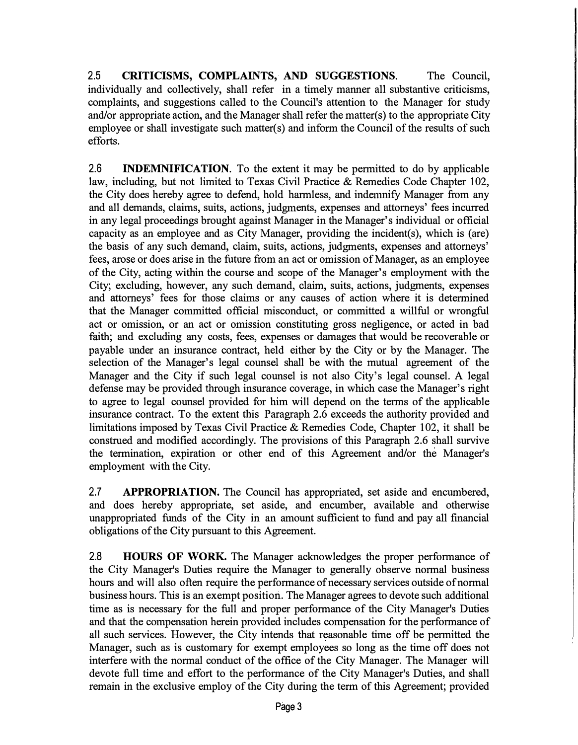2.5 **CRITICISMS, COMPLAINTS, AND SUGGESTIONS.** The Council, individually and collectively, shall refer in a timely manner all substantive criticisms, complaints, and suggestions called to the Council's attention to the Manager for study and/or appropriate action, and the Manager shall refer the matter(s) to the appropriate City employee or shall investigate such matter( $s$ ) and inform the Council of the results of such efforts.

2.6 **INDEMNIFICATION.** To the extent it may be permitted to do by applicable law, including, but not limited to Texas Civil Practice & Remedies Code Chapter 102, the City does hereby agree to defend, hold harmless, and indemnify Manager from any and all demands, claims, suits, actions, judgments, expenses and attorneys' fees incurred in any legal proceedings brought against Manager in the Manager's individual or official capacity as an employee and as City Manager, providing the incident(s), which is (are) the basis of any such demand, claim, suits, actions, judgments, expenses and attorneys' fees, arose or does arise in the future from an act or omission of Manager, as an employee of the City, acting within the course and scope of the Manager's employment with the City; excluding, however, any such demand, claim, suits, actions, judgments, expenses and attorneys' fees for those claims or any causes of action where it is determined that the Manager committed official misconduct, or committed a willful or wrongful act or omission, or an act or omission constituting gross negligence, or acted in bad faith; and excluding any costs, fees, expenses or damages that would be recoverable or payable under an insurance contract, held either by the City or by the Manager. The selection of the Manager's legal counsel shall be with the mutual agreement of the Manager and the City if such legal counsel is not also City's legal counsel. A legal defense may be provided through insurance coverage, in which case the Manager's right to agree to legal counsel provided for him will depend on the terms of the applicable insurance contract. To the extent this Paragraph 2.6 exceeds the authority provided and limitations imposed by Texas Civil Practice & Remedies Code, Chapter 102, it shall be construed and modified accordingly. The provisions of this Paragraph 2.6 shall survive the termination, expiration or other end of this Agreement and/or the Manager's employment with the City.

2.7 **APPROPRIATION.** The Council has appropriated, set aside and encumbered, and does hereby appropriate, set aside, and encumber, available and otherwise unappropriated funds of the City in an amount sufficient to fund and pay all financial obligations of the City pursuant to this Agreement.

2.8 **HOURS OF WORK.** The Manager acknowledges the proper performance of the City Manager's Duties require the Manager to generally observe normal business hours and will also often require the performance of necessary services outside of normal business hours. This is an exempt position. The Manager agrees to devote such additional time as is necessary for the full and proper performance of the City Manager's Duties and that the compensation herein provided includes compensation for the performance of all such services. However, the City intends that reasonable time off be permitted the Manager, such as is customary for exempt employees so long as the time off does not interfere with the normal conduct of the office of the City Manager. The Manager will devote full time and effort to the performance of the City Manager's Duties, and shall remain in the exclusive employ of the City during the term of this Agreement; provided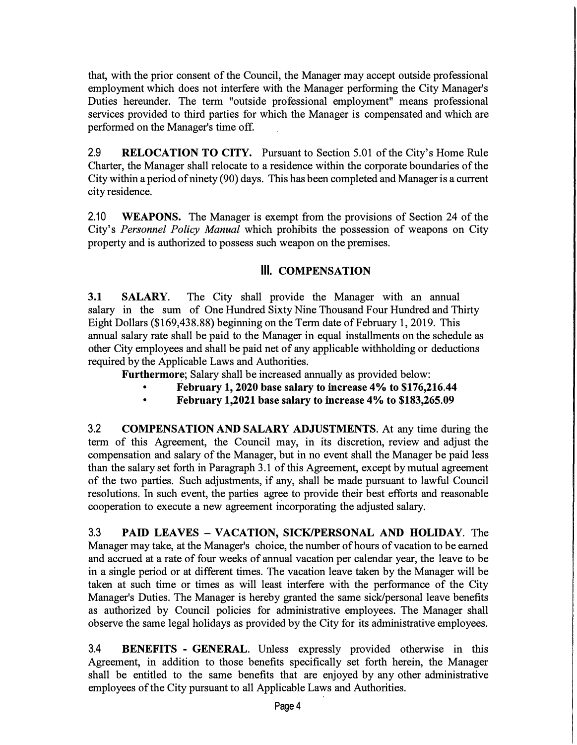that, with the prior consent of the Council, the Manager may accept outside professional employment which does not interfere with the Manager performing the City Manager's Duties hereunder. The term "outside professional employment" means professional services provided to third parties for which the Manager is compensated and which are performed on the Manager's time off.

2.9 **RELOCATION TO CITY.** Pursuant to Section 5.01 of the City's Home Rule Charter, the Manager shall relocate to a residence within the corporate boundaries of the City within a period of ninety (90) days. This has been completed and Manager is a current city residence.

2.10 **WEAPONS.** The Manager is exempt from the provisions of Section 24 of the City's *Personnel Policy Manual* which prohibits the possession of weapons on City property and is authorized to possess such weapon on the premises.

### **Ill. COMPENSATION**

**3.1 SALARY.** The City shall provide the Manager with an annual salary in the sum of One Hundred Sixty Nine Thousand Four Hundred and Thirty Eight Dollars (\$169,438.88) beginning on the Term date of February 1, 2019. This annual salary rate shall be paid to the Manager in equal installments on the schedule as other City employees and shall be paid net of any applicable withholding or deductions required by the Applicable Laws and Authorities.

Furthermore; Salary shall be increased annually as provided below:

- **• February 1, 2020 base salary to increase 4% to \$176,216.44**
- **• February 1,2021 base salary to increase 4% to \$183,265.09**

3.2 **COMPENSATION AND SALARY ADJUSTMENTS.** At any time during the term of this Agreement, the Council may, in its discretion, review and adjust the compensation and salary of the Manager, but in no event shall the Manager be paid less than the salary set forth in Paragraph 3 .1 of this Agreement, except by mutual agreement of the two parties. Such adjustments, if any, shall be made pursuant to lawful Council resolutions. In such event, the parties agree to provide their best efforts and reasonable cooperation to execute a new agreement incorporating the adjusted salary.

3.3 **PAID LEAVES - VACATION, SICK/PERSONAL AND HOLIDAY.** The Manager may take, at the Manager's choice, the number of hours of vacation to be earned and accrued at a rate of four weeks of annual vacation per calendar year, the leave to be in a single period or at different times. The vacation leave taken by the Manager will be taken at such time or times as will least interfere with the performance of the City Manager's Duties. The Manager is hereby granted the same sick/personal leave benefits as authorized by Council policies for administrative employees. The Manager shall observe the same legal holidays as provided by the City for its administrative employees.

3.4 **BENEFITS - GENERAL.** Unless expressly provided otherwise in this Agreement, in addition to those benefits specifically set forth herein, the Manager shall be entitled to the same benefits that are enjoyed by any other administrative employees of the City pursuant to all Applicable Laws and Authorities.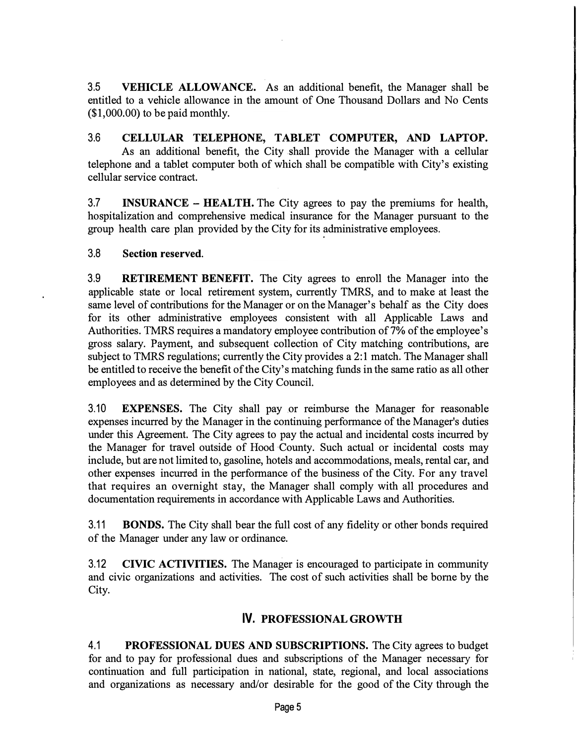3.5 **VEHICLE ALLOWANCE.** As an additional benefit, the Manager shall be entitled to a vehicle allowance in the amount of One Thousand Dollars and No Cents  $($1,000.00)$  to be paid monthly.

3.6 **CELLULAR TELEPHONE, TABLET COMPUTER, AND LAPTOP.**  As an additional benefit, the City shall provide the Manager with a cellular telephone and a tablet computer both of which shall be compatible with City's existing cellular service contract.

3.7 **INSURANCE – HEALTH.** The City agrees to pay the premiums for health, hospitalization and comprehensive medical insurance for the Manager pursuant to the group health care plan provided by the City for its administrative employees.

### **3.8 Section reserved.**

3.9 **RETIREMENT BENEFIT.** The City agrees to enroll the Manager into the applicable state or local retirement system, currently TMRS, and to make at least the same level of contributions for the Manager or on the Manager's behalf as the City does for its other administrative employees consistent with all Applicable Laws and Authorities. TMRS requires a mandatory employee contribution of7% of the employee's gross salary. Payment, and subsequent collection of City matching contributions, are subject to TMRS regulations; currently the City provides a 2: 1 match. The Manager shall be entitled to receive the benefit of the City's matching funds in the same ratio as all other employees and as determined by the City Council.

3.10 **EXPENSES.** The City shall pay .or reimburse the Manager for reasonable expenses incurred by the Manager in the continuing performance of the Manager's duties under this Agreement. The City agrees to pay the actual and incidental costs incurred by the Manager for travel outside of Hood County. Such actual or incidental costs may include, but are not limited to, gasoline, hotels and accommodations, meals, rental car, and other expenses incurred in the performance of the business of the City. For any travel that requires an overnight stay, the Manager shall comply with all procedures and documentation requirements in accordance with Applicable Laws and Authorities.

3.11 **BONDS.** The City shall bear the full cost of any fidelity or other bonds required of the Manager under any law or ordinance.

3.12 **CIVIC ACTIVITIES.** The Manager is encouraged to participate in community and civic organizations and activities. The cost of such activities shall be borne by the City.

### **IV. PROFESSIONAL GROWTH**

4.1 **PROFESSIONAL DUES AND SUBSCRIPTIONS.** The City agrees to budget for and to pay for professional dues and subscriptions of the Manager necessary for continuation and full participation in national, state, regional, and local associations and organizations as necessary and/or desirable for the good of the City through the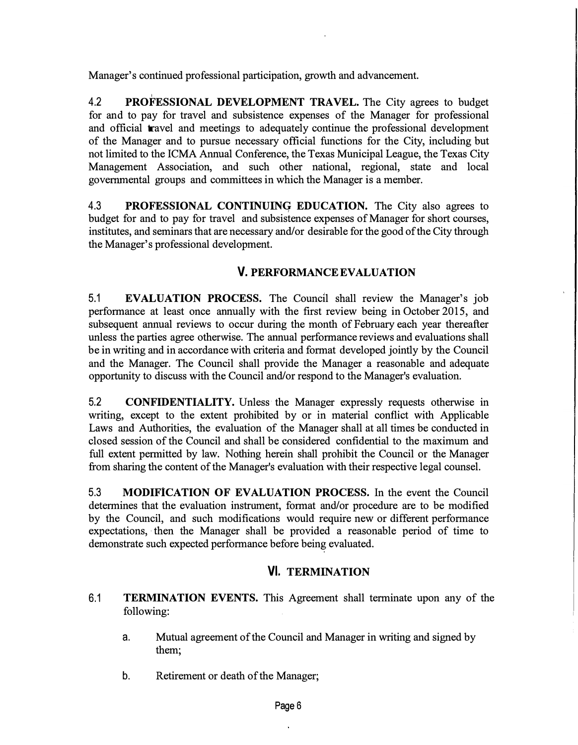Manager's continued professional participation, growth and advancement.

<sup>I</sup>4.2 **PROFESSIONAL DEVELOPMENT TRAVEL.** The City agrees to budget for and to pay for travel and subsistence expenses of the Manager for professional and official travel and meetings to adequately continue the professional development of the Manager and to pursue necessary official functions for the City, including but not limited to the ICMA Annual Conference, the Texas Municipal League, the Texas City Management Association, and such other national, regional, state and local governmental groups and committees in which the Manager is a member.

4.3 **PROFESSIONAL CONTINUING EDUCATION.** The City also agrees to budget for and to pay for travel and subsistence expenses of Manager for short courses, institutes, and seminars that are necessary and/or desirable for the good of the City through the Manager's professional development.

# **V. PERFORMANCEEVALUATION**

5.1 **EVALUATION PROCESS.** The Council shall review the Manager's job performance at least once annually with the first review being in October 2015, and subsequent annual reviews to occur during the month of February each year thereafter unless the parties agree otherwise. The annual performance reviews and evaluations shall be in writing and in accordance with criteria and format developed jointly by the Council and the Manager. The Council shall provide the Manager a reasonable and adequate opportunity to discuss with the Council and/or respond to the Manager's evaluation.

5.2 **CONFIDENTIALITY.** Unless the Manager expressly requests otherwise in writing, except to the extent prohibited by or in material conflict with Applicable Laws and Authorities, the evaluation of the Manager shall at all times be conducted in closed session of the Council and shall be considered confidential to the maximum and full extent permitted by law. Nothing herein shall prohibit the Council or the Manager from sharing the content of the Manager's evaluation with their respective legal counsel.

5.3 **MODIFICATION OF EVALUATION PROCESS.** In the event the Council determines that the evaluation instrument, format and/or procedure are to be modified by the Council, and such modifications would require new or different performance expectations, then the Manager shall be provided a reasonable period of time to demonstrate such expected performance before being evaluated.

# **VI. TERMINATION**

- 6.1 **TERMINATION EVENTS.** This Agreement shall terminate upon any of the following:
	- a. Mutual agreement of the Council and Manager in writing and signed by them;
	- b. Retirement or death of the Manager;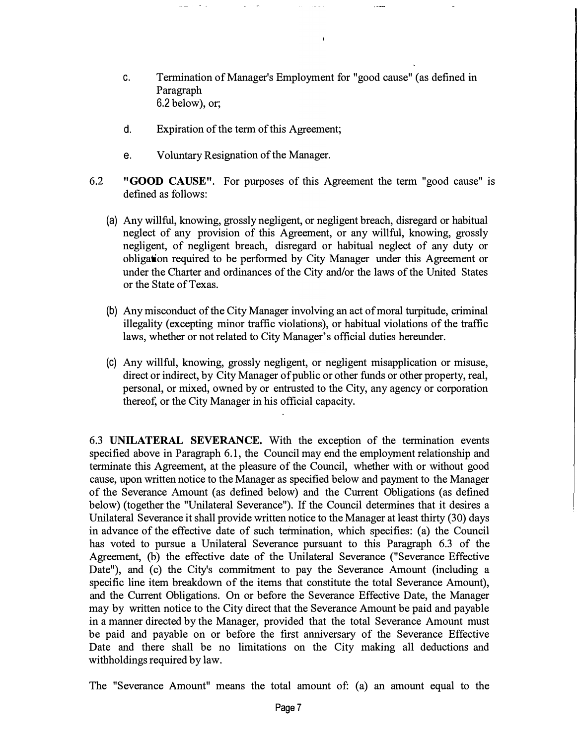- c. Termination of Manager's Employment for "good cause" (as defined in Paragraph 6.2 below), or;
- d. Expiration of the term of this Agreement;
- e. Voluntary Resignation of the Manager.
- 6.2 **"GOOD CAUSE".** For purposes of this Agreement the term "good cause" is defined as follows:
	- (a) Any willful, knowing, grossly negligent, or negligent breach, disregard or habitual neglect of any provision of this Agreement, or any willful, knowing, grossly negligent, of negligent breach, disregard or habitual neglect of any duty or obligation required to be performed by City Manager under this Agreement or under the Charter and ordinances of the City and/or the laws of the United States or the State of Texas.
	- (b) Any misconduct of the City Manager involving an act of moral turpitude, criminal illegality (excepting minor traffic violations), or habitual violations of the traffic laws, whether or not related to City Manager's official duties hereunder.
	- (c) Any willful, knowing, grossly negligent, or negligent misapplication or misuse, direct or indirect, by City Manager of public or other funds or other property, real, personal, or mixed, owned by or entrusted to the City, any agency or corporation thereof, or the City Manager in his official capacity.

6.3 **UNILATERAL SEVERANCE.** With the exception of the termination events specified above in Paragraph 6.1, the Council may end the employment relationship and terminate this Agreement, at the pleasure of the Council, whether with or without good cause, upon written notice to the Manager as specified below and payment to the Manager of the Severance Amount (as defined below) and the Current Obligations (as defined below) (together the "Unilateral Severance"). If the Council determines that it desires a Unilateral Severance it shall provide written notice to the Manager at least thirty (30) days in advance of the effective date of such termination, which specifies: (a) the Council has voted to pursue a Unilateral Severance pursuant to this Paragraph 6.3 of the Agreement, (b) the effective date of the Unilateral Severance ("Severance Effective Date"), and (c) the City's commitment to pay the Severance Amount (including a specific line item breakdown of the items that constitute the total Severance Amount), and the Current Obligations. On or before the Severance Effective Date, the Manager may by written notice to the City direct that the Severance Amount be paid and payable in a manner directed by the Manager, provided that the total Severance Amount must be paid and payable on or before the first anniversary of the Severance Effective Date and there shall be no limitations on the City making all deductions and withholdings required by law.

The "Severance Amount" means the total amount of: (a) an amount equal to the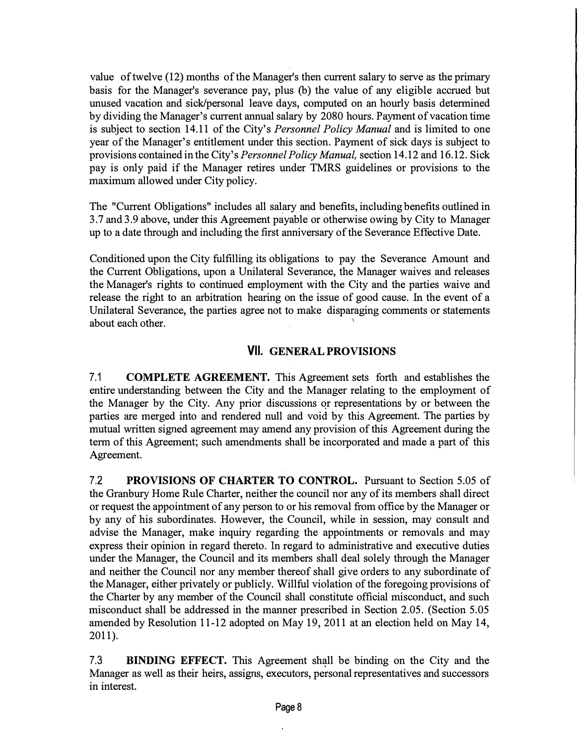value of twelve (12) months of the Manager's then current salary to serve as the primary basis for the Manager's severance pay, plus (b) the value of any eligible accrued but unused vacation and sick/personal leave days, computed on an hourly basis determined by dividing the Manager's current annual salary by 2080 hours. Payment of vacation time is subject to section 14.11 of the City's *Personnel Policy Manual* and is limited to one year of the Manager's entitlement under this section. Payment of sick days is subject to provisions contained in the City's *Personnel Policy Manual,* section 14.12 and 16.12. Sick pay is only paid if the Manager retires under TMRS guidelines or provisions to the maximum allowed under City policy.

The "Current Obligations" includes all salary and benefits, including benefits outlined in 3. 7 and 3 .9 above, under this Agreement payable or otherwise owing by City to Manager up to a date through and including the first anniversary of the Severance Effective Date.

Conditioned upon the City fulfilling its obligations to pay the Severance Amount and the Current Obligations, upon a Unilateral Severance, the Manager waives and releases the Manager's rights to continued employment with the City and the parties waive and release the right to an arbitration hearing on the issue of good cause. In the event of a Unilateral Severance, the parties agree not to make disparaging comments or statements about each other.

### **VII. GENERAL PROVISIONS**

7.1 **COMPLETE AGREEMENT.** This Agreement sets forth and establishes the entire understanding between the City and the Manager relating to the employment of the Manager by the City. Any prior discussions or representations by or between the parties are merged into and rendered null and void by this Agreement. The parties by mutual written signed agreement may amend any provision of this Agreement during the term of this Agreement; such amendments shall be incorporated and made a part of this Agreement.

7.2 **PROVISIONS OF CHARTER TO CONTROL.** Pursuant to Section 5.05 of the Granbury Home Rule Charter, neither the council nor any of its members shall direct or request the appointment of any person to or his removal from office by the Manager or by any of his subordinates. However, the Council, while in session, may consult and advise the Manager, make inquiry regarding the appointments or removals and may express their opinion in regard thereto. In regard to administrative and executive duties under the Manager, the Council and its members shall deal solely through the Manager and neither the Council nor any member thereof shall give orders to any subordinate of the Manager, either privately or publicly. Willful violation of the foregoing provisions of the Charter by any member of the Council shall constitute official misconduct, and such misconduct shall be addressed in the manner prescribed in Section 2.05. (Section 5.05 amended by Resolution 11-12 adopted on May 19, 2011 at an election held on May 14, 2011).

7.3 **BINDING EFFECT.** This Agreement shall be binding on the City and the Manager as well as their heirs, assigns, executors, personal representatives and successors in interest.